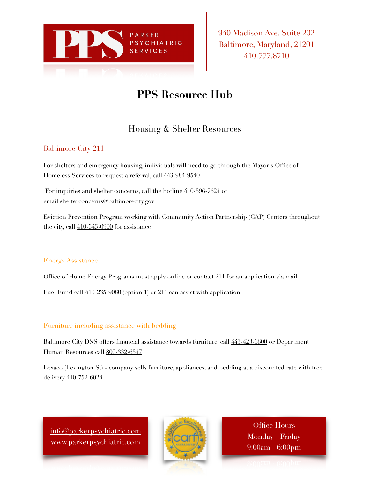

940 Madison Ave. Suite 202 Baltimore, Maryland, 21201 410.777.8710

# **PPS Resource Hub**

## Housing & Shelter Resources

## Baltimore City 211 |

For shelters and emergency housing, individuals will need to go through the Mayor's Office of Homeless Services to request a referral, call  $443-984-9540$ 

For inquiries and shelter concerns, call the hotline  $410-396-7624$  or email [shelterconcerns@baltimorecity.gov](mailto:shelterconcerns@baltimorecity.gov)

Eviction Prevention Program working with Community Action Partnership (CAP) Centers throughout the city, call [410-545-0900](tel:410-545-0900) for assistance

## Energy Assistance

Office of Home Energy Programs must apply online or contact 211 for an application via mail

Fuel Fund call  $410-235-9080$  (option 1) or  $211$  can assist with application

## Furniture including assistance with bedding

Baltimore City DSS offers financial assistance towards furniture, call [443-423-6600](tel:443-423-6600) or Department Human Resources call [800-332-6347](tel:800-332-6347)

Lexaco (Lexington St) - company sells furniture, appliances, and bedding at a discounted rate with free delivery [410-752-6024](tel:410-752-6024)

[info@parkerpsychiatric.com](mailto:info@parkerpsychiatric.com) [www.parkerpsychiatric.com](http://www.parkerpsychiatric.com)



Office Hours Monday - Friday 9:00am - 6:00pm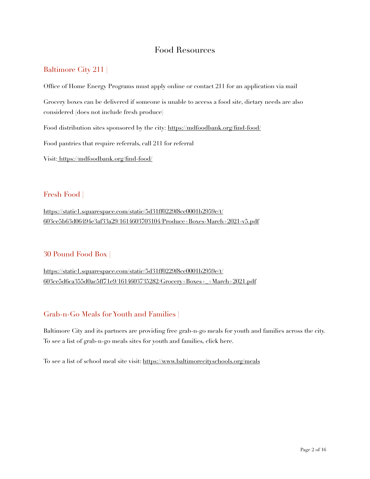## Food Resources

## Baltimore City 211 |

Office of Home Energy Programs must apply online or contact 211 for an application via mail Grocery boxes can be delivered if someone is unable to access a food site, dietary needs are also considered (does not include fresh produce) Food distribution sites sponsored by the city: <https://mdfoodbank.org/find-food/> Food pantries that require referrals, call 211 for referral

Visit: [https://mdfoodbank.org/find-food/](http://www.apple.com)

## Fresh Food |

[https://static1.squarespace.com/static/5d31ff0229f8cc0001b2959e/t/](https://static1.squarespace.com/static/5d31ff0229f8cc0001b2959e/t/603ce5b63d06494e3af33a29/1614603703104/Produce+Boxes-March+2021-v5.pdf) [603ce5b63d06494e3af33a29/1614603703104/Produce+Boxes-March+2021-v5.pdf](https://static1.squarespace.com/static/5d31ff0229f8cc0001b2959e/t/603ce5b63d06494e3af33a29/1614603703104/Produce+Boxes-March+2021-v5.pdf)

## 30 Pound Food Box |

[https://static1.squarespace.com/static/5d31ff0229f8cc0001b2959e/t/](https://static1.squarespace.com/static/5d31ff0229f8cc0001b2959e/t/603ce5d6ca355d0ac5ff71e9/1614603735282/Grocery+Boxes+_+March+2021.pdf) [603ce5d6ca355d0ac5ff71e9/1614603735282/Grocery+Boxes+\\_+March+2021.pdf](https://static1.squarespace.com/static/5d31ff0229f8cc0001b2959e/t/603ce5d6ca355d0ac5ff71e9/1614603735282/Grocery+Boxes+_+March+2021.pdf)

## Grab-n-Go Meals for Youth and Families |

Baltimore City and its partners are providing free grab-n-go meals for youth and families across the city. To see a list of grab-n-go meals sites for youth and families, click here.

To see a list of school meal site visit:<https://www.baltimorecityschools.org/meals>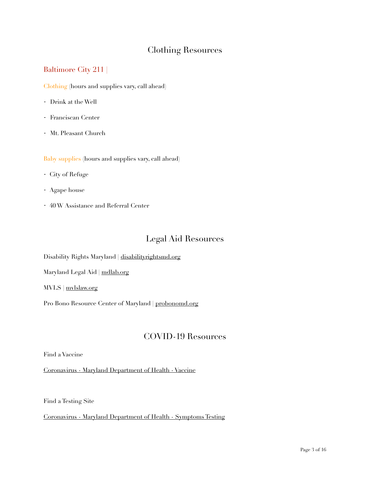## Clothing Resources

## Baltimore City 211 |

Clothing (hours and supplies vary, call ahead)

- Drink at the Well
- Franciscan Center
- Mt. Pleasant Church

Baby supplies (hours and supplies vary, call ahead)

- City of Refuge
- Agape house
- 40 W Assistance and Referral Center

## Legal Aid Resources

Disability Rights Maryland | [disabilityrightsmd.org](http://disabilityrightsmd.org)

Maryland Legal Aid | [mdlab.org](http://mdlab.org)

MVLS | [mvlslaw.org](http://mvlslaw.org)

Pro Bono Resource Center of Maryland | [probonomd.org](http://probonomd.org)

## COVID-19 Resources

Find a Vaccine

[Coronavirus - Maryland Department of Health - Vaccine](https://coronavirus.maryland.gov/pages/vaccine)

Find a Testing Site

[Coronavirus - Maryland Department of Health - Symptoms Testing](https://coronavirus.maryland.gov/pages/symptoms-testing#locator)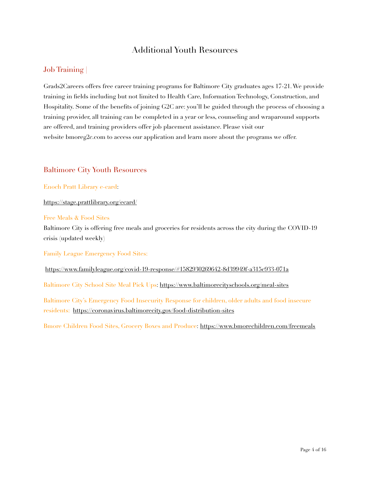## Additional Youth Resources

## Job Training |

Grads2Careers offers free career training programs for Baltimore City graduates ages 17-21. We provide training in fields including but not limited to Health Care, Information Technology, Construction, and Hospitality. Some of the benefits of joining G2C are: you'll be guided through the process of choosing a training provider, all training can be completed in a year or less, counseling and wraparound supports are offered, and training providers offer job placement assistance. Please visit our website bmoreg2c.com to access our application and learn more about the programs we offer.

### Baltimore City Youth Resources

Enoch Pratt Library e-card:

<https://stage.prattlibrary.org/ecard/>

Free Meals & Food Sites

Baltimore City is offering free meals and groceries for residents across the city during the COVID-19 crisis (updated weekly)

Family League Emergency Food Sites:

<https://www.familyleague.org/covid-19-response/#1582930269642-8d39949f-a315c933-071a>

Baltimore City School Site Meal Pick Ups:<https://www.baltimorecityschools.org/meal-sites>

Baltimore City's Emergency Food Insecurity Response for children, older adults and food insecure residents: <https://coronavirus.baltimorecity.gov/food-distribution-sites>

Bmore Children Food Sites, Grocery Boxes and Produce: <https://www.bmorechildren.com/freemeals>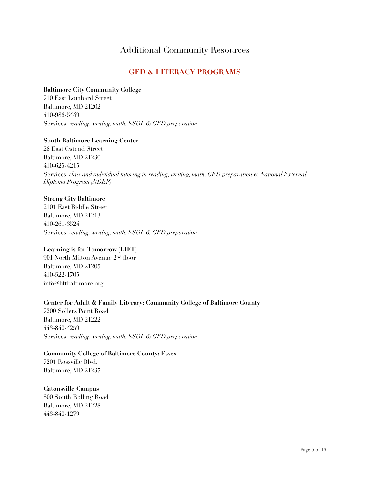## Additional Community Resources

## **GED & LITERACY PROGRAMS**

#### **Baltimore City Community College**

710 East Lombard Street Baltimore, MD 21202 410-986-5449 Services: *reading, writing, math, ESOL & GED preparation*

#### **South Baltimore Learning Center**

28 East Ostend Street Baltimore, MD 21230 410-625-4215 Services: *class and individual tutoring in reading, writing, math, GED preparation & National External Diploma Program (NDEP)*

#### **Strong City Baltimore**

2101 East Biddle Street Baltimore, MD 21213 410-261-3524 Services: *reading, writing, math, ESOL & GED preparation*

#### **Learning is for Tomorrow (LIFT)**

901 North Milton Avenue 2nd floor Baltimore, MD 21205 410-522-1705 info@liftbaltimore.org

## **Center for Adult & Family Literacy: Community College of Baltimore County**

7200 Sollers Point Road Baltimore, MD 21222 443-840-4259 Services: *reading, writing, math, ESOL & GED preparation*

**Community College of Baltimore County: Essex**  7201 Rossville Blvd. Baltimore, MD 21237

**Catonsville Campus** 800 South Rolling Road Baltimore, MD 21228 443-840-1279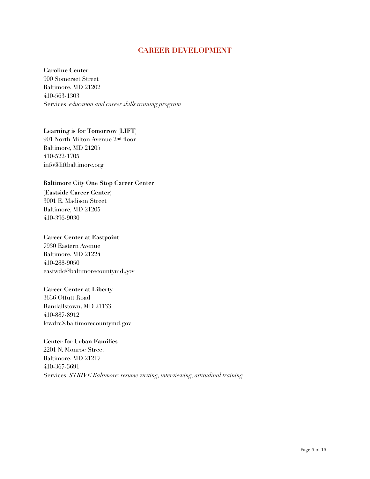## **CAREER DEVELOPMENT**

#### **Caroline Center**

900 Somerset Street Baltimore, MD 21202 410-563-1303 Services: *education and career skills training program*

#### **Learning is for Tomorrow (LIFT)**

901 North Milton Avenue 2nd floor Baltimore, MD 21205 410-522-1705 info@liftbaltimore.org

#### **Baltimore City One Stop Career Center**

**(Eastside Career Center)** 3001 E. Madison Street Baltimore, MD 21205 410-396-9030

#### **Career Center at Eastpoint**

7930 Eastern Avenue Baltimore, MD 21224 410-288-9050 eastwdc@baltimorecountymd.gov

#### **Career Center at Liberty**

3636 Offutt Road Randallstown, MD 21133 410-887-8912 lcwdrc@baltimorecountymd.gov

#### **Center for Urban Families**

2201 N. Monroe Street Baltimore, MD 21217 410-367-5691 Services: *STRIVE Baltimore: resume writing, interviewing, attitudinal training*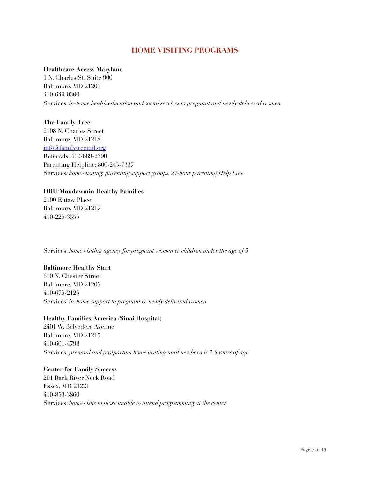## **HOME VISITING PROGRAMS**

#### **Healthcare Access Maryland**

1 N. Charles St. Suite 900 Baltimore, MD 21201 410-649-0500 Services: *in-home health education and social services to pregnant and newly delivered women*

### **The Family Tree** 2108 N. Charles Street Baltimore, MD 21218 [info@familytreemd.org](mailto:info@familytreemd.org) Referrals: 410-889-2300 Parenting Helpline: 800-243-7337 Services*: home-visiting, parenting support groups, 24-hour parenting Help Line*

#### **DRU/Mondawmin Healthy Families**

2100 Eutaw Place Baltimore, MD 21217 410-225-3555

Services: *home visiting agency for pregnant women & children under the age of 5* 

#### **Baltimore Healthy Start**

610 N. Chester Street Baltimore, MD 21205 410-675-2125 Services: *in-home support to pregnant & newly delivered women* 

#### **Healthy Families America (Sinai Hospital)**

2401 W. Belvedere Avenue Baltimore, MD 21215 410-601-4798 Services: *prenatal and postpartum home visiting until newborn is 3-5 years of age* 

#### **Center for Family Success**

201 Back River Neck Road Essex, MD 21221 410-853-3860 Services: *home visits to those unable to attend programming at the center*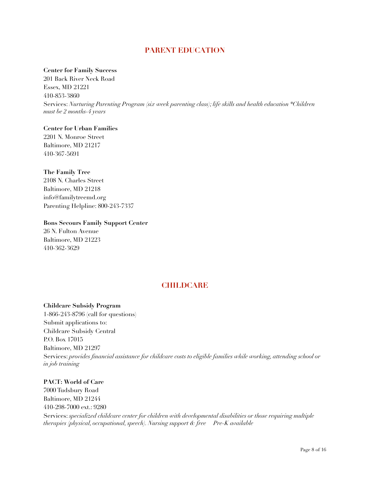## **PARENT EDUCATION**

#### **Center for Family Success**

201 Back River Neck Road Essex, MD 21221 410-853-3860 Services: *Nurturing Parenting Program (six week parenting class); life skills and health education \*Children must be 2 months-4 years* 

#### **Center for Urban Families**

2201 N. Monroe Street Baltimore, MD 21217 410-367-5691

#### **The Family Tree**

410-362-3629

2108 N. Charles Street Baltimore, MD 21218 info@familytreemd.org Parenting Helpline: 800-243-7337

## **Bons Secours Family Support Center** 26 N. Fulton Avenue Baltimore, MD 21223

## **CHILDCARE**

#### **Childcare Subsidy Program**

1-866-243-8796 (call for questions) Submit applications to: Childcare Subsidy Central P.O. Box 17015 Baltimore, MD 21297 Services: *provides financial assistance for childcare costs to eligible families while working, attending school or in job training* 

#### **PACT: World of Care**

7000 Tudsbury Road Baltimore, MD 21244 410-298-7000 ext.: 9280 Services: *specialized childcare center for children with developmental disabilities or those requiring multiple therapies (physical, occupational, speech). Nursing support & free Pre-K available*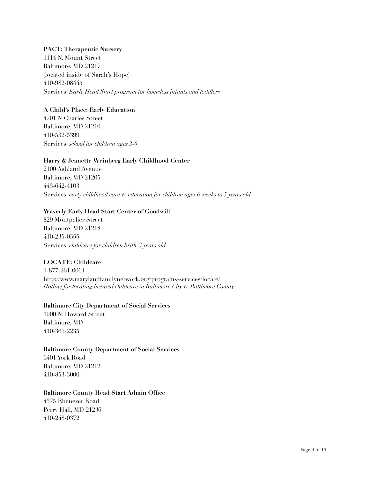#### **PACT: Therapeutic Nursery**

1114 N. Mount Street Baltimore, MD 21217 (located inside of Sarah's Hope) 410-982-08445 Services: *Early Head Start program for homeless infants and toddlers* 

#### **A Child's Place: Early Education**

4701 N Charles Street Baltimore, MD 21210 410-532-5399 Services: *school for children ages 3-6*

#### **Harry & Jeanette Weinberg Early Childhood Center**

2100 Ashland Avenue Baltimore, MD 21205 443-642-4103 Services: *early childhood care & education for children ages 6 weeks to 5 years old*

#### **Waverly Early Head Start Center of Goodwill**

829 Montpelier Street Baltimore, MD 21218 410-235-0555 Services: *childcare for children brith-3 years old*

#### **LOCATE: Childcare**

1-877-261-0061 http://www.marylandfamilynetwork.org/programs-services/locate/ *Hotline for locating licensed childcare in Baltimore City & Baltimore County*

#### **Baltimore City Department of Social Services**

1900 N. Howard Street Baltimore, MD 410-361-2235

#### **Baltimore County Department of Social Services**

6401 York Road Baltimore, MD 21212 410-853-3000

#### **Baltimore County Head Start Admin Office**

4375 Ebenezer Road Perry Hall, MD 21236 410-248-0372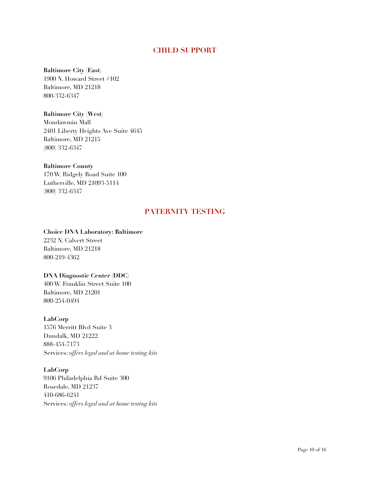## **CHILD SUPPORT**

#### **Baltimore City (East)**

1900 N. Howard Street #102 Baltimore, MD 21218 800-332-6347

#### **Baltimore City (West)**

Mondawmin Mall 2401 Liberty Heights Ave Suite 4645 Baltimore, MD 21215 (800) 332-6347

#### **Baltimore County**

170 W. Ridgely Road Suite 100 Lutherville, MD 21093-5114 (800) 332-6347

## **PATERNITY TESTING**

#### **Choice DNA Laboratory: Baltimore**

2232 N. Calvert Street Baltimore, MD 21218 800-219-4362

#### **DNA Diagnostic Center (DDC)**

400 W. Franklin Street Suite 100 Baltimore, MD 21201 800-254-0494

#### **LabCorp**

1576 Merritt Blvd Suite 3 Dundalk, MD 21222 888-454-7173 Services: *offers legal and at home testing kits* 

**LabCorp** 9106 Philadelphia Rd Suite 300 Rosedale, MD 21237 410-686-6241 Services: *offers legal and at home testing kits*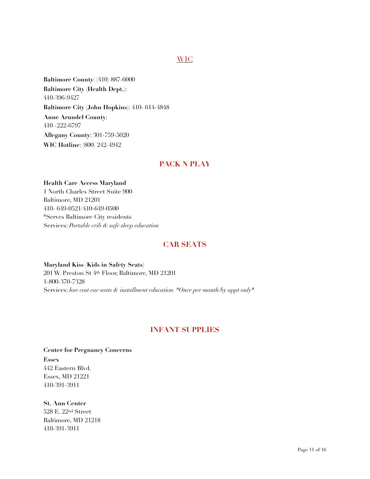## WIC

**Baltimore County**: (410) 887-6000 **Baltimore City (Health Dept.)**: 410-396-9427 **Baltimore City (John Hopkins**): 410- 614-4848 **Anne Arundel County**: 410 -222-6797 **Allegany County**: 301-759-5020 **WIC Hotline**: (800) 242-4942

### **PACK N PLAY**

**Health Care Access Maryland** 1 North Charles Street Suite 900 Baltimore, MD 21201 410- 649-0521/410-649-0500 \*Serves Baltimore City residents Services: *Portable crib & safe sleep education*

### **CAR SEATS**

**Maryland Kiss (Kids in Safety Seats)** 201 W. Preston St 4th Floor, Baltimore, MD 21201 1-800-370-7328 Services: *low cost car seats & installment education. \*Once per month/by appt only\**

## **INFANT SUPPLIES**

**Center for Pregnancy Concerns Essex** 442 Eastern Blvd. Essex, MD 21221 410-391-3911

**St. Ann Center** 528 E. 22nd Street Baltimore, MD 21218 410-391-3911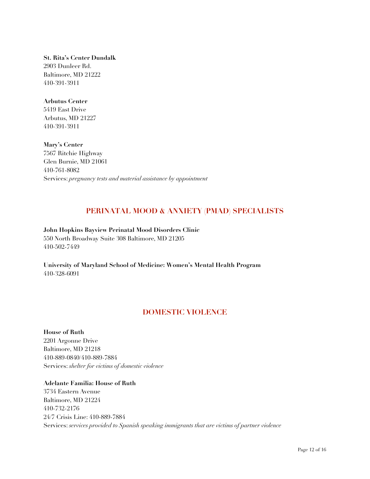**St. Rita's Center Dundalk** 2903 Dunleer Rd. Baltimore, MD 21222 410-391-3911

#### **Arbutus Center**

5419 East Drive Arbutus, MD 21227 410-391-3911

**Mary's Center**  7567 Ritchie Highway Glen Burnie, MD 21061 410-761-8082 Services: *pregnancy tests and material assistance by appointment* 

## **PERINATAL MOOD & ANXIETY (PMAD) SPECIALISTS**

**John Hopkins Bayview Perinatal Mood Disorders Clinic**  550 North Broadway Suite 308 Baltimore, MD 21205 410-502-7449

**University of Maryland School of Medicine: Women's Mental Health Program**  410-328-6091

## **DOMESTIC VIOLENCE**

**House of Ruth** 2201 Argonne Drive Baltimore, MD 21218 410-889-0840/410-889-7884 Services: *shelter for victims of domestic violence* 

**Adelante Familia: House of Ruth** 3734 Eastern Avenue Baltimore, MD 21224 410-732-2176 24/7 Crisis Line: 410-889-7884 Services: *services provided to Spanish speaking immigrants that are victims of partner violence*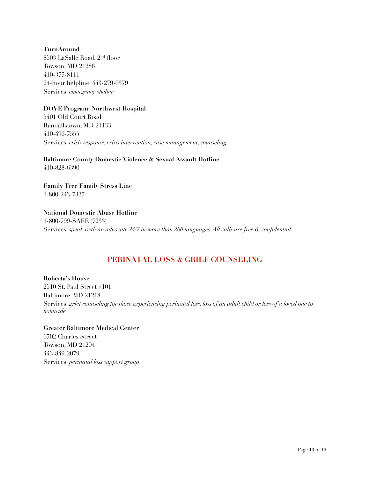**TurnAround** 8503 LaSalle Road, 2nd floor Towson, MD 21286 410-377-8111 24-hour helpline: 443-279-0379 Services: *emergency shelter*

#### **DOVE Program: Northwest Hospital**

5401 Old Court Road Randallstown, MD 21133 410-496-7555 Services: *crisis response, crisis intervention, case management, counseling*

**Baltimore County Domestic Violence & Sexual Assault Hotline** 410-828-6390

**Family Tree Family Stress Line** 1-800-243-7337

**National Domestic Abuse Hotline** 1-800-799-SAFE (7233) Services: *speak with an advocate 24/7 in more than 200 languages. All calls are free & confidential* 

## **PERINATAL LOSS & GRIEF COUNSELING**

**Roberta's House** 2510 St. Paul Street #101 Baltimore, MD 21218 Services: *grief counseling for those experiencing perinatal loss, loss of an adult child or loss of a loved one to homicide* 

**Greater Baltimore Medical Center** 6702 Charles Street Towson, MD 21204 443-849-2079 Services: *perinatal loss support group*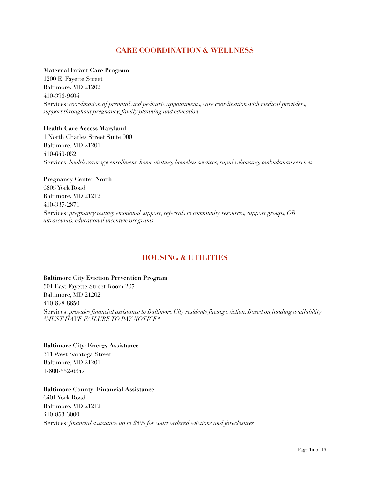## **CARE COORDINATION & WELLNESS**

#### **Maternal Infant Care Program**

1200 E. Fayette Street Baltimore, MD 21202 410-396-9404 Services: *coordination of prenatal and pediatric appointments, care coordination with medical providers, support throughout pregnancy, family planning and education*

#### **Health Care Access Maryland**

1 North Charles Street Suite 900 Baltimore, MD 21201 410-649-0521 Services: *health coverage enrollment, home visiting, homeless services, rapid rehousing, ombudsman services*

#### **Pregnancy Center North**

6805 York Road Baltimore, MD 21212 410-337-2871 Services: *pregnancy testing, emotional support, referrals to community resources, support groups, OB ultrasounds, educational incentive programs*

## **HOUSING & UTILITIES**

**Baltimore City Eviction Prevention Program** 501 East Fayette Street Room 207 Baltimore, MD 21202 410-878-8650 Services: *provides financial assistance to Baltimore City residents facing eviction. Based on funding availability \*MUST HAVE FAILURE TO PAY NOTICE\** 

#### **Baltimore City: Energy Assistance** 311 West Saratoga Street Baltimore, MD 21201 1-800-332-6347

#### **Baltimore County: Financial Assistance**

6401 York Road Baltimore, MD 21212 410-853-3000 Services: *financial assistance up to \$500 for court ordered evictions and foreclosures*